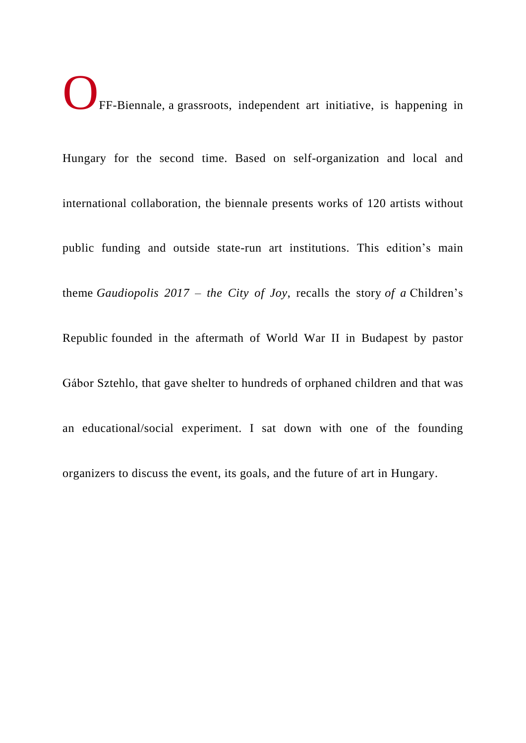OFF-Biennale, <sup>a</sup> grassroots, independent art initiative, is happening in

Hungary for the second time. Based on self-organization and local and international collaboration, the biennale presents works of 120 artists without public funding and outside state-run art institutions. This edition's main theme *Gaudiopolis 2017 – the City of Joy*, recalls the story *of a* Children's Republic founded in the aftermath of World War II in Budapest by pastor Gábor Sztehlo, that gave shelter to hundreds of orphaned children and that was an educational/social experiment. I sat down with one of the founding organizers to discuss the event, its goals, and the future of art in Hungary.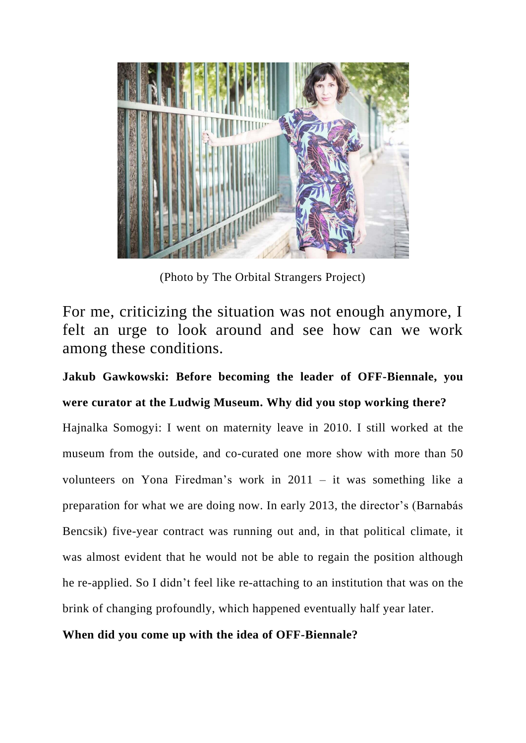

(Photo by The Orbital Strangers Project)

For me, criticizing the situation was not enough anymore, I felt an urge to look around and see how can we work among these conditions.

**Jakub Gawkowski: Before becoming the leader of OFF-Biennale, you were curator at the Ludwig Museum. Why did you stop working there?**

Hajnalka Somogyi: I went on maternity leave in 2010. I still worked at the museum from the outside, and co-curated one more show with more than 50 volunteers on Yona Firedman's work in 2011 – it was something like a preparation for what we are doing now. In early 2013, the director's (Barnabás Bencsik) five-year contract was running out and, in that political climate, it was almost evident that he would not be able to regain the position although he re-applied. So I didn't feel like re-attaching to an institution that was on the brink of changing profoundly, which happened eventually half year later.

### **When did you come up with the idea of OFF-Biennale?**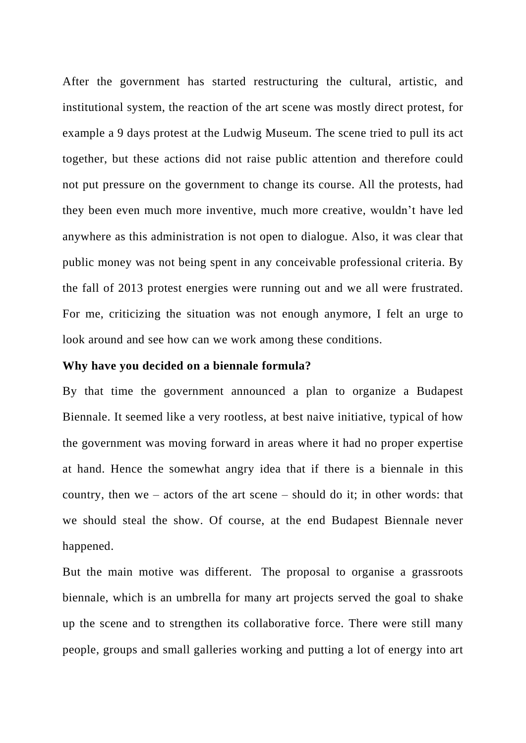After the government has started restructuring the cultural, artistic, and institutional system, the reaction of the art scene was mostly direct protest, for example a 9 days protest at the Ludwig Museum. The scene tried to pull its act together, but these actions did not raise public attention and therefore could not put pressure on the government to change its course. All the protests, had they been even much more inventive, much more creative, wouldn't have led anywhere as this administration is not open to dialogue. Also, it was clear that public money was not being spent in any conceivable professional criteria. By the fall of 2013 protest energies were running out and we all were frustrated. For me, criticizing the situation was not enough anymore, I felt an urge to look around and see how can we work among these conditions.

### **Why have you decided on a biennale formula?**

By that time the government announced a plan to organize a Budapest Biennale. It seemed like a very rootless, at best naive initiative, typical of how the government was moving forward in areas where it had no proper expertise at hand. Hence the somewhat angry idea that if there is a biennale in this country, then we – actors of the art scene – should do it; in other words: that we should steal the show. Of course, at the end Budapest Biennale never happened.

But the main motive was different. The proposal to organise a grassroots biennale, which is an umbrella for many art projects served the goal to shake up the scene and to strengthen its collaborative force. There were still many people, groups and small galleries working and putting a lot of energy into art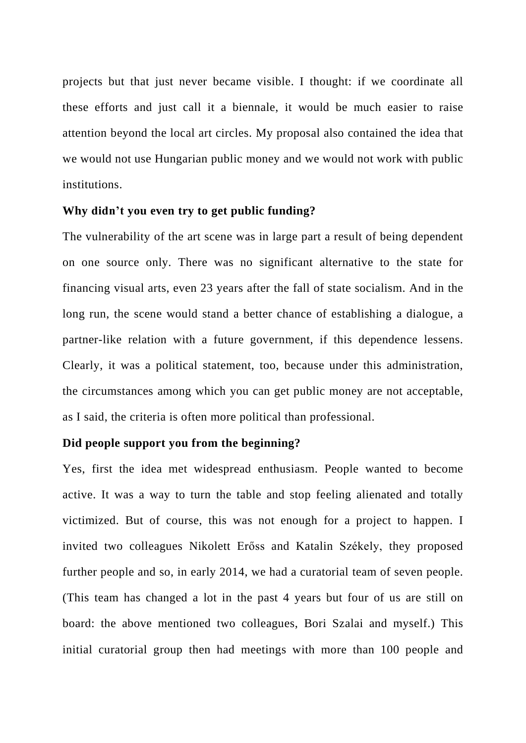projects but that just never became visible. I thought: if we coordinate all these efforts and just call it a biennale, it would be much easier to raise attention beyond the local art circles. My proposal also contained the idea that we would not use Hungarian public money and we would not work with public institutions.

### **Why didn't you even try to get public funding?**

The vulnerability of the art scene was in large part a result of being dependent on one source only. There was no significant alternative to the state for financing visual arts, even 23 years after the fall of state socialism. And in the long run, the scene would stand a better chance of establishing a dialogue, a partner-like relation with a future government, if this dependence lessens. Clearly, it was a political statement, too, because under this administration, the circumstances among which you can get public money are not acceptable, as I said, the criteria is often more political than professional.

### **Did people support you from the beginning?**

Yes, first the idea met widespread enthusiasm. People wanted to become active. It was a way to turn the table and stop feeling alienated and totally victimized. But of course, this was not enough for a project to happen. I invited two colleagues Nikolett Erőss and Katalin Székely, they proposed further people and so, in early 2014, we had a curatorial team of seven people. (This team has changed a lot in the past 4 years but four of us are still on board: the above mentioned two colleagues, Bori Szalai and myself.) This initial curatorial group then had meetings with more than 100 people and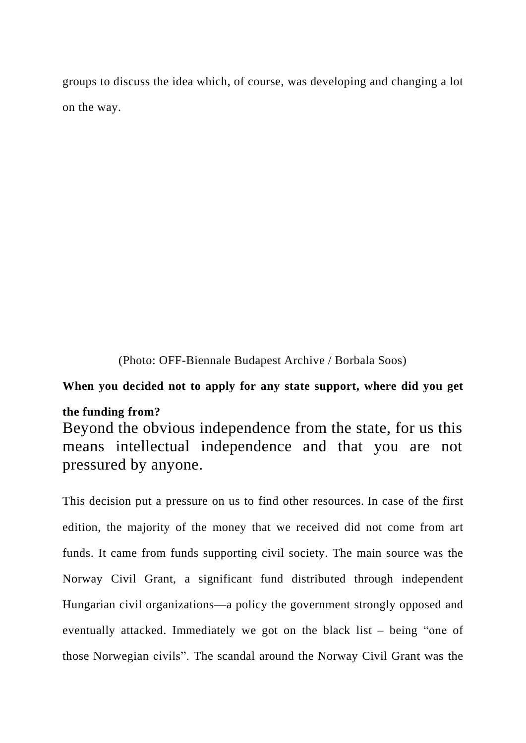groups to discuss the idea which, of course, was developing and changing a lot on the way.

(Photo: OFF-Biennale Budapest Archive / Borbala Soos)

# **When you decided not to apply for any state support, where did you get**

### **the funding from?**

Beyond the obvious independence from the state, for us this means intellectual independence and that you are not pressured by anyone.

This decision put a pressure on us to find other resources. In case of the first edition, the majority of the money that we received did not come from art funds. It came from funds supporting civil society. The main source was the Norway Civil Grant, a significant fund distributed through independent Hungarian civil organizations—a policy the government strongly opposed and eventually attacked. Immediately we got on the black list – being "one of those Norwegian civils". The scandal around the Norway Civil Grant was the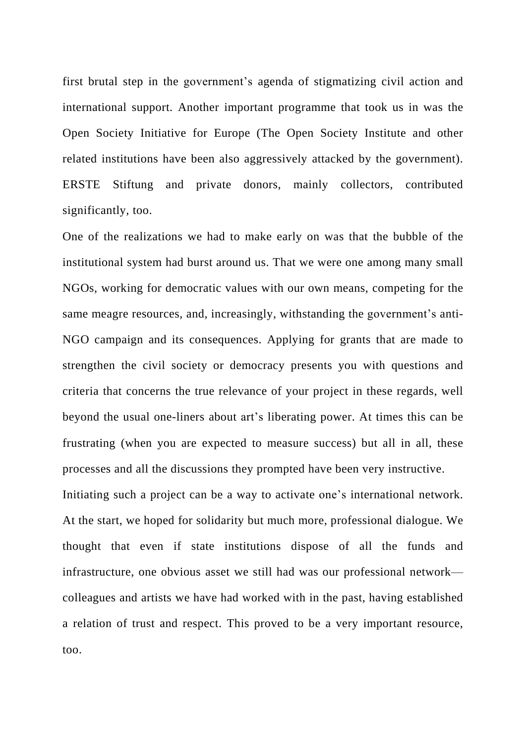first brutal step in the government's agenda of stigmatizing civil action and international support. Another important programme that took us in was the Open Society Initiative for Europe (The Open Society Institute and other related institutions have been also aggressively attacked by the government). ERSTE Stiftung and private donors, mainly collectors, contributed significantly, too.

One of the realizations we had to make early on was that the bubble of the institutional system had burst around us. That we were one among many small NGOs, working for democratic values with our own means, competing for the same meagre resources, and, increasingly, withstanding the government's anti-NGO campaign and its consequences. Applying for grants that are made to strengthen the civil society or democracy presents you with questions and criteria that concerns the true relevance of your project in these regards, well beyond the usual one-liners about art's liberating power. At times this can be frustrating (when you are expected to measure success) but all in all, these processes and all the discussions they prompted have been very instructive.

Initiating such a project can be a way to activate one's international network. At the start, we hoped for solidarity but much more, professional dialogue. We thought that even if state institutions dispose of all the funds and infrastructure, one obvious asset we still had was our professional network colleagues and artists we have had worked with in the past, having established a relation of trust and respect. This proved to be a very important resource, too.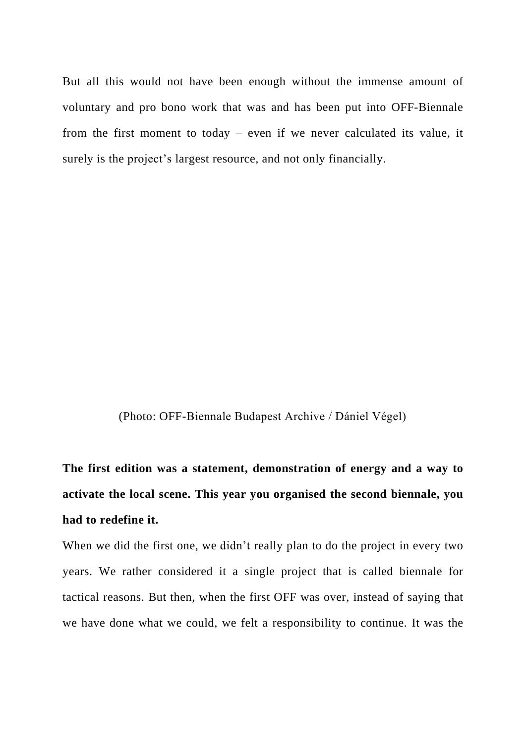But all this would not have been enough without the immense amount of voluntary and pro bono work that was and has been put into OFF-Biennale from the first moment to today – even if we never calculated its value, it surely is the project's largest resource, and not only financially.

(Photo: OFF-Biennale Budapest Archive / Dániel Végel)

**The first edition was a statement, demonstration of energy and a way to activate the local scene. This year you organised the second biennale, you had to redefine it.**

When we did the first one, we didn't really plan to do the project in every two years. We rather considered it a single project that is called biennale for tactical reasons. But then, when the first OFF was over, instead of saying that we have done what we could, we felt a responsibility to continue. It was the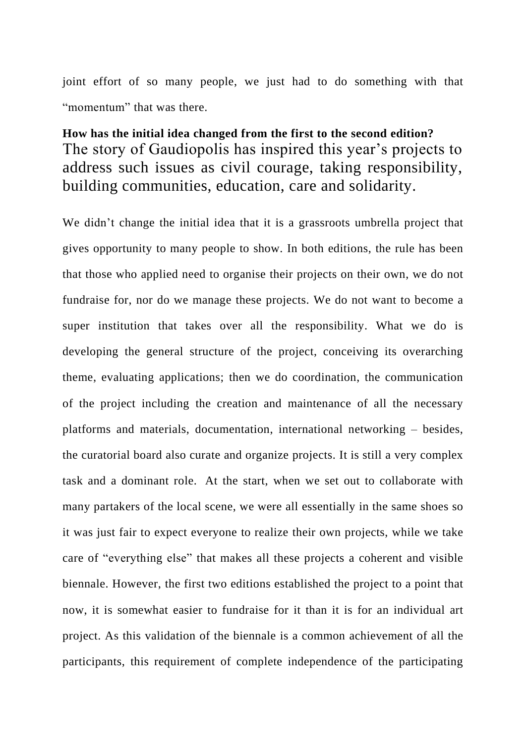joint effort of so many people, we just had to do something with that "momentum" that was there.

### **How has the initial idea changed from the first to the second edition?** The story of Gaudiopolis has inspired this year's projects to address such issues as civil courage, taking responsibility, building communities, education, care and solidarity.

We didn't change the initial idea that it is a grassroots umbrella project that gives opportunity to many people to show. In both editions, the rule has been that those who applied need to organise their projects on their own, we do not fundraise for, nor do we manage these projects. We do not want to become a super institution that takes over all the responsibility. What we do is developing the general structure of the project, conceiving its overarching theme, evaluating applications; then we do coordination, the communication of the project including the creation and maintenance of all the necessary platforms and materials, documentation, international networking – besides, the curatorial board also curate and organize projects. It is still a very complex task and a dominant role. At the start, when we set out to collaborate with many partakers of the local scene, we were all essentially in the same shoes so it was just fair to expect everyone to realize their own projects, while we take care of "everything else" that makes all these projects a coherent and visible biennale. However, the first two editions established the project to a point that now, it is somewhat easier to fundraise for it than it is for an individual art project. As this validation of the biennale is a common achievement of all the participants, this requirement of complete independence of the participating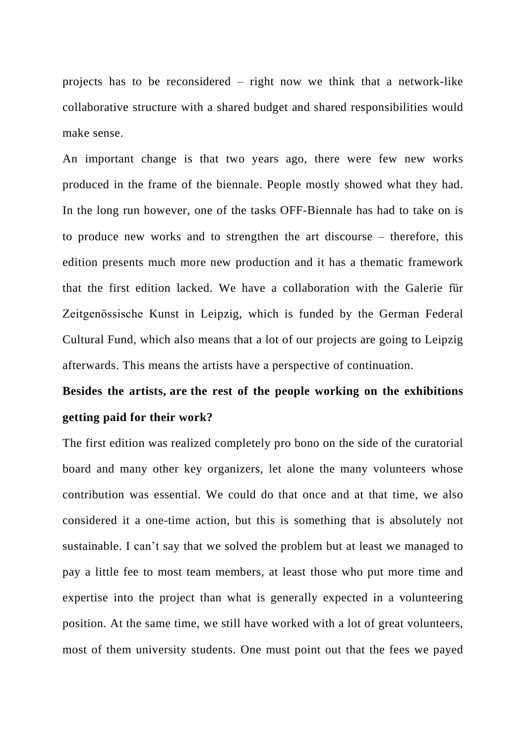projects has to be reconsidered – right now we think that a network-like collaborative structure with a shared budget and shared responsibilities would make sense.

An important change is that two years ago, there were few new works produced in the frame of the biennale. People mostly showed what they had. In the long run however, one of the tasks OFF-Biennale has had to take on is to produce new works and to strengthen the art discourse – therefore, this edition presents much more new production and it has a thematic framework that the first edition lacked. We have a collaboration with the Galerie für Zeitgenössische Kunst in Leipzig, which is funded by the German Federal Cultural Fund, which also means that a lot of our projects are going to Leipzig afterwards. This means the artists have a perspective of continuation.

# **Besides the artists, are the rest of the people working on the exhibitions getting paid for their work?**

The first edition was realized completely pro bono on the side of the curatorial board and many other key organizers, let alone the many volunteers whose contribution was essential. We could do that once and at that time, we also considered it a one-time action, but this is something that is absolutely not sustainable. I can't say that we solved the problem but at least we managed to pay a little fee to most team members, at least those who put more time and expertise into the project than what is generally expected in a volunteering position. At the same time, we still have worked with a lot of great volunteers, most of them university students. One must point out that the fees we payed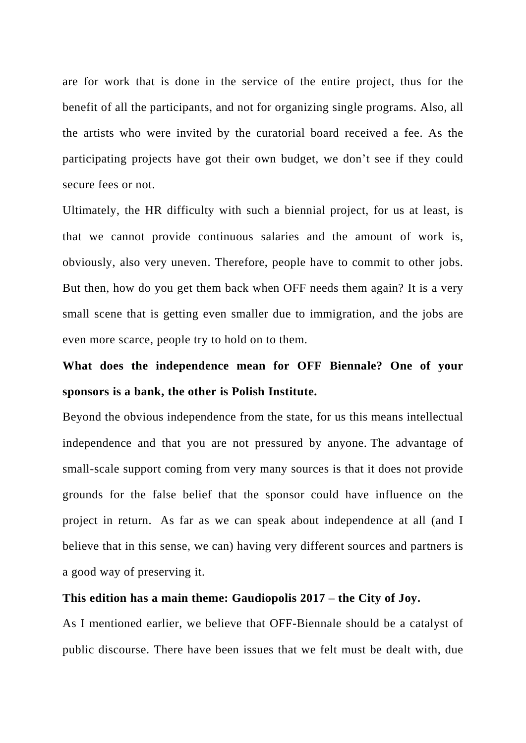are for work that is done in the service of the entire project, thus for the benefit of all the participants, and not for organizing single programs. Also, all the artists who were invited by the curatorial board received a fee. As the participating projects have got their own budget, we don't see if they could secure fees or not.

Ultimately, the HR difficulty with such a biennial project, for us at least, is that we cannot provide continuous salaries and the amount of work is, obviously, also very uneven. Therefore, people have to commit to other jobs. But then, how do you get them back when OFF needs them again? It is a very small scene that is getting even smaller due to immigration, and the jobs are even more scarce, people try to hold on to them.

## **What does the independence mean for OFF Biennale? One of your sponsors is a bank, the other is Polish Institute.**

Beyond the obvious independence from the state, for us this means intellectual independence and that you are not pressured by anyone. The advantage of small-scale support coming from very many sources is that it does not provide grounds for the false belief that the sponsor could have influence on the project in return. As far as we can speak about independence at all (and I believe that in this sense, we can) having very different sources and partners is a good way of preserving it.

#### **This edition has a main theme: Gaudiopolis 2017 – the City of Joy.**

As I mentioned earlier, we believe that OFF-Biennale should be a catalyst of public discourse. There have been issues that we felt must be dealt with, due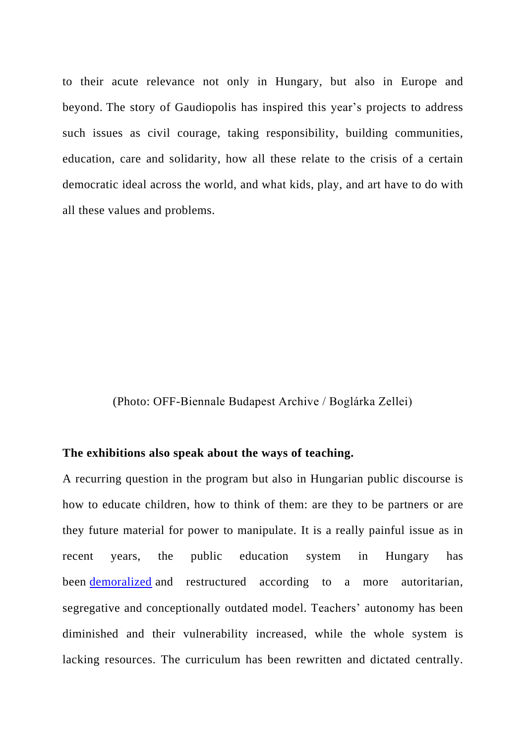to their acute relevance not only in Hungary, but also in Europe and beyond. The story of Gaudiopolis has inspired this year's projects to address such issues as civil courage, taking responsibility, building communities, education, care and solidarity, how all these relate to the crisis of a certain democratic ideal across the world, and what kids, play, and art have to do with all these values and problems.

### (Photo: OFF-Biennale Budapest Archive / Boglárka Zellei)

#### **The exhibitions also speak about the ways of teaching.**

A recurring question in the program but also in Hungarian public discourse is how to educate children, how to think of them: are they to be partners or are they future material for power to manipulate. It is a really painful issue as in recent years, the public education system in Hungary has been **[demoralized](http://politicalcritique.org/cee/hungary/2017/sexism-and-racism-the-new-hungarian-schoolbooks-teach-everything-you-dont-want-your-child-to-learn/)** and restructured according to a more autoritarian, segregative and conceptionally outdated model. Teachers' autonomy has been diminished and their vulnerability increased, while the whole system is lacking resources. The curriculum has been rewritten and dictated centrally.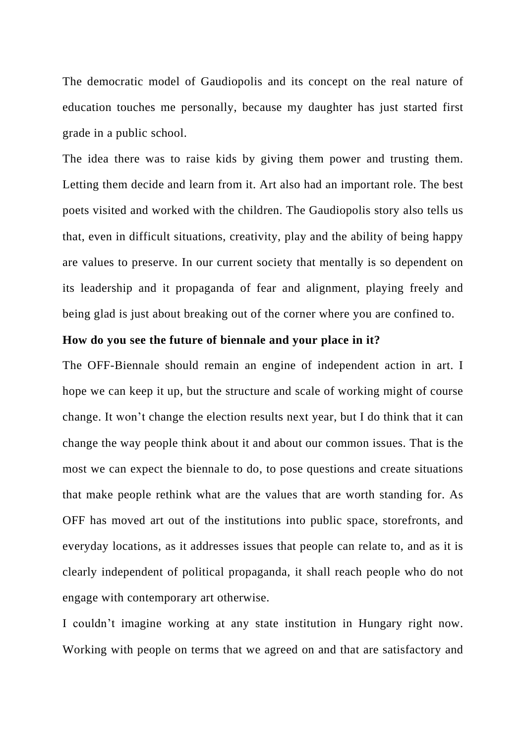The democratic model of Gaudiopolis and its concept on the real nature of education touches me personally, because my daughter has just started first grade in a public school.

The idea there was to raise kids by giving them power and trusting them. Letting them decide and learn from it. Art also had an important role. The best poets visited and worked with the children. The Gaudiopolis story also tells us that, even in difficult situations, creativity, play and the ability of being happy are values to preserve. In our current society that mentally is so dependent on its leadership and it propaganda of fear and alignment, playing freely and being glad is just about breaking out of the corner where you are confined to.

#### **How do you see the future of biennale and your place in it?**

The OFF-Biennale should remain an engine of independent action in art. I hope we can keep it up, but the structure and scale of working might of course change. It won't change the election results next year, but I do think that it can change the way people think about it and about our common issues. That is the most we can expect the biennale to do, to pose questions and create situations that make people rethink what are the values that are worth standing for. As OFF has moved art out of the institutions into public space, storefronts, and everyday locations, as it addresses issues that people can relate to, and as it is clearly independent of political propaganda, it shall reach people who do not engage with contemporary art otherwise.

I couldn't imagine working at any state institution in Hungary right now. Working with people on terms that we agreed on and that are satisfactory and